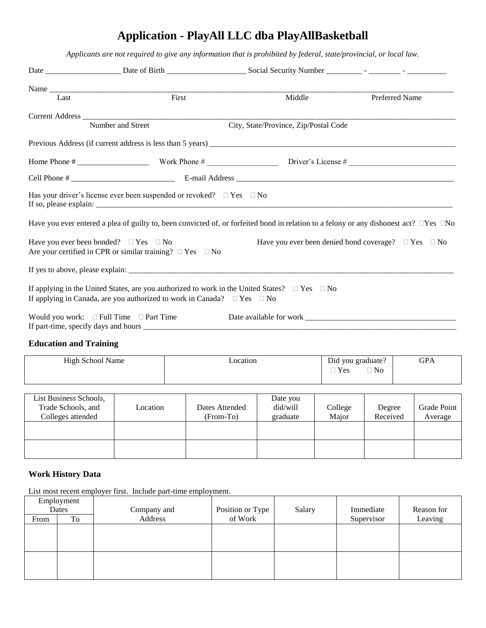# **Application - PlayAll LLC dba PlayAllBasketball**

*Applicants are not required to give any information that is prohibited by federal, state/provincial, or local law.*

| Last | First                                                                                                                  | Middle                                                                                                                                             | Preferred Name                                                      |
|------|------------------------------------------------------------------------------------------------------------------------|----------------------------------------------------------------------------------------------------------------------------------------------------|---------------------------------------------------------------------|
|      |                                                                                                                        |                                                                                                                                                    |                                                                     |
|      | Number and Street                                                                                                      | City, State/Province, Zip/Postal Code                                                                                                              |                                                                     |
|      |                                                                                                                        |                                                                                                                                                    |                                                                     |
|      |                                                                                                                        |                                                                                                                                                    |                                                                     |
|      |                                                                                                                        |                                                                                                                                                    |                                                                     |
|      | Has your driver's license ever been suspended or revoked? $\Box$ Yes $\Box$ No                                         |                                                                                                                                                    |                                                                     |
|      |                                                                                                                        | Have you ever entered a plea of guilty to, been convicted of, or forfeited bond in relation to a felony or any dishonest act? $\Box$ Yes $\Box$ No |                                                                     |
|      | Have you ever been bonded? $\Box$ Yes $\Box$ No<br>Are your certified in CPR or similar training? $\Box$ Yes $\Box$ No |                                                                                                                                                    | Have you ever been denied bond coverage? $\square$ Yes $\square$ No |
|      |                                                                                                                        |                                                                                                                                                    |                                                                     |
|      |                                                                                                                        | If applying in the United States, are you authorized to work in the United States? $\square$ Yes $\square$ No                                      |                                                                     |
|      | If applying in Canada, are you authorized to work in Canada? $\square$ Yes $\square$ No                                |                                                                                                                                                    |                                                                     |
|      | Would you work: $\Box$ Full Time $\Box$ Part Time                                                                      |                                                                                                                                                    |                                                                     |
|      |                                                                                                                        |                                                                                                                                                    |                                                                     |

## **Education and Training**

| <b>High School Name</b> | _ocation | Did you graduate? | GPA |
|-------------------------|----------|-------------------|-----|
|                         |          | $\Box$ No<br>Yes  |     |
|                         |          |                   |     |

| List Business Schools,<br>Trade Schools, and<br>Colleges attended | Location | Dates Attended<br>(From-To) | Date you<br>did/will<br>graduate | College<br>Major | Degree<br>Received | Grade Point<br>Average |
|-------------------------------------------------------------------|----------|-----------------------------|----------------------------------|------------------|--------------------|------------------------|
|                                                                   |          |                             |                                  |                  |                    |                        |
|                                                                   |          |                             |                                  |                  |                    |                        |

#### **Work History Data**

List most recent employer first. Include part-time employment.

|       | Employment |             |                  |        |            |            |
|-------|------------|-------------|------------------|--------|------------|------------|
| Dates |            | Company and | Position or Type | Salary | Immediate  | Reason for |
| From  | To         | Address     | of Work          |        | Supervisor | Leaving    |
|       |            |             |                  |        |            |            |
|       |            |             |                  |        |            |            |
|       |            |             |                  |        |            |            |
|       |            |             |                  |        |            |            |
|       |            |             |                  |        |            |            |
|       |            |             |                  |        |            |            |